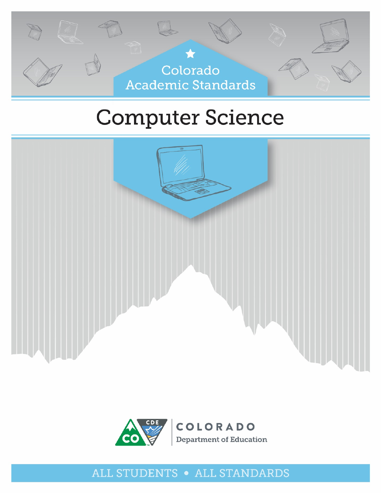

# **Computer Science**





## ALL STUDENTS • ALL STANDARDS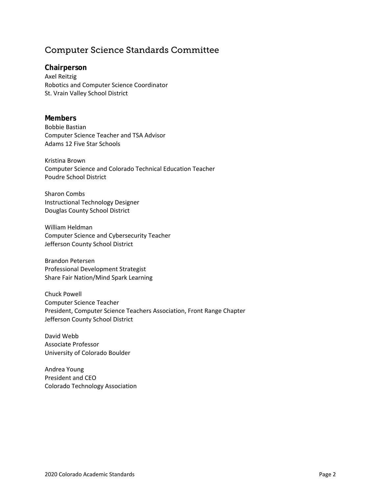## Computer Science Standards Committee

**Chairperson** Axel Reitzig Robotics and Computer Science Coordinator St. Vrain Valley School District

#### **Members**

Bobbie Bastian Computer Science Teacher and TSA Advisor Adams 12 Five Star Schools

Kristina Brown Computer Science and Colorado Technical Education Teacher Poudre School District

Sharon Combs Instructional Technology Designer Douglas County School District

William Heldman Computer Science and Cybersecurity Teacher Jefferson County School District

Brandon Petersen Professional Development Strategist Share Fair Nation/Mind Spark Learning

Chuck Powell Computer Science Teacher President, Computer Science Teachers Association, Front Range Chapter Jefferson County School District

David Webb Associate Professor University of Colorado Boulder

Andrea Young President and CEO Colorado Technology Association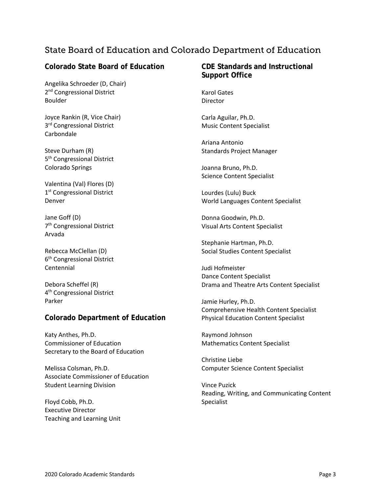## State Board of Education and Colorado Department of Education

#### **Colorado State Board of Education**

Angelika Schroeder (D, Chair) 2<sup>nd</sup> Congressional District Boulder

Joyce Rankin (R, Vice Chair) 3<sup>rd</sup> Congressional District Carbondale

Steve Durham (R) 5<sup>th</sup> Congressional District Colorado Springs

Valentina (Val) Flores (D) 1<sup>st</sup> Congressional District Denver

Jane Goff (D) 7th Congressional District Arvada

Rebecca McClellan (D) 6th Congressional District Centennial

Debora Scheffel (R) 4th Congressional District Parker

#### **Colorado Department of Education**

Katy Anthes, Ph.D. Commissioner of Education Secretary to the Board of Education

Melissa Colsman, Ph.D. Associate Commissioner of Education Student Learning Division

Floyd Cobb, Ph.D. Executive Director Teaching and Learning Unit

#### **CDE Standards and Instructional Support Office**

Karol Gates **Director** 

Carla Aguilar, Ph.D. Music Content Specialist

Ariana Antonio Standards Project Manager

Joanna Bruno, Ph.D. Science Content Specialist

Lourdes (Lulu) Buck World Languages Content Specialist

Donna Goodwin, Ph.D. Visual Arts Content Specialist

Stephanie Hartman, Ph.D. Social Studies Content Specialist

Judi Hofmeister Dance Content Specialist Drama and Theatre Arts Content Specialist

Jamie Hurley, Ph.D. Comprehensive Health Content Specialist Physical Education Content Specialist

Raymond Johnson Mathematics Content Specialist

Christine Liebe Computer Science Content Specialist

Vince Puzick Reading, Writing, and Communicating Content Specialist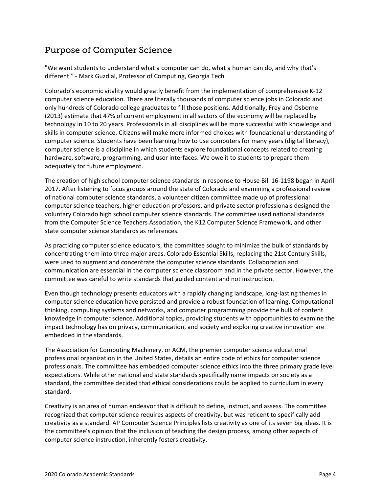## Purpose of Computer Science

"We want students to understand what a computer can do, what a human can do, and why that's different." - Mark Guzdial, Professor of Computing, Georgia Tech

Colorado's economic vitality would greatly benefit from the implementation of comprehensive K-12 computer science education. There are literally thousands of computer science jobs in Colorado and only hundreds of Colorado college graduates to fill those positions. Additionally, Frey and Osborne (2013) estimate that 47% of current employment in all sectors of the economy will be replaced by technology in 10 to 20 years. Professionals in all disciplines will be more successful with knowledge and skills in computer science. Citizens will make more informed choices with foundational understanding of computer science. Students have been learning how to use computers for many years (digital literacy), computer science is a discipline in which students explore foundational concepts related to creating hardware, software, programming, and user interfaces. We owe it to students to prepare them adequately for future employment.

The creation of high school computer science standards in response to House Bill 16-1198 began in April 2017. After listening to focus groups around the state of Colorado and examining a professional review of national computer science standards, a volunteer citizen committee made up of professional computer science teachers, higher education professors, and private sector professionals designed the voluntary Colorado high school computer science standards. The committee used national standards from the Computer Science Teachers Association, the K12 Computer Science Framework, and other state computer science standards as references.

As practicing computer science educators, the committee sought to minimize the bulk of standards by concentrating them into three major areas. Colorado Essential Skills, replacing the 21st Century Skills, were used to augment and concentrate the computer science standards. Collaboration and communication are essential in the computer science classroom and in the private sector. However, the committee was careful to write standards that guided content and not instruction.

Even though technology presents educators with a rapidly changing landscape, long-lasting themes in computer science education have persisted and provide a robust foundation of learning. Computational thinking, computing systems and networks, and computer programming provide the bulk of content knowledge in computer science. Additional topics, providing students with opportunities to examine the impact technology has on privacy, communication, and society and exploring creative innovation are embedded in the standards.

The Association for Computing Machinery, or ACM, the premier computer science educational professional organization in the United States, details an entire code of ethics for computer science professionals. The committee has embedded computer science ethics into the three primary grade level expectations. While other national and state standards specifically name impacts on society as a standard, the committee decided that ethical considerations could be applied to curriculum in every standard.

Creativity is an area of human endeavor that is difficult to define, instruct, and assess. The committee recognized that computer science requires aspects of creativity, but was reticent to specifically add creativity as a standard. AP Computer Science Principles lists creativity as one of its seven big ideas. It is the committee's opinion that the inclusion of teaching the design process, among other aspects of computer science instruction, inherently fosters creativity.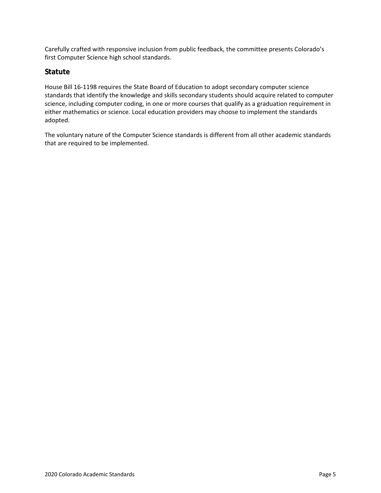Carefully crafted with responsive inclusion from public feedback, the committee presents Colorado's first Computer Science high school standards.

#### **Statute**

House Bill 16-1198 requires the State Board of Education to adopt secondary computer science standards that identify the knowledge and skills secondary students should acquire related to computer science, including computer coding, in one or more courses that qualify as a graduation requirement in either mathematics or science. Local education providers may choose to implement the standards adopted.

The voluntary nature of the Computer Science standards is different from all other academic standards that are required to be implemented.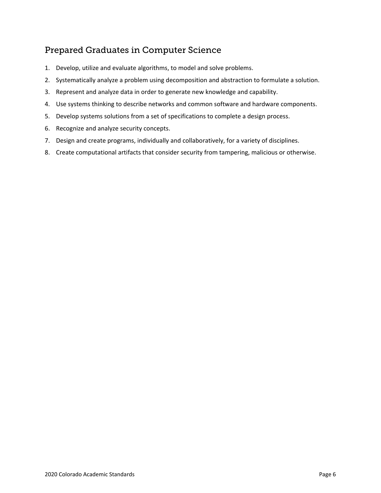## Prepared Graduates in Computer Science

- 1. Develop, utilize and evaluate algorithms, to model and solve problems.
- 2. Systematically analyze a problem using decomposition and abstraction to formulate a solution.
- 3. Represent and analyze data in order to generate new knowledge and capability.
- 4. Use systems thinking to describe networks and common software and hardware components.
- 5. Develop systems solutions from a set of specifications to complete a design process.
- 6. Recognize and analyze security concepts.
- 7. Design and create programs, individually and collaboratively, for a variety of disciplines.
- 8. Create computational artifacts that consider security from tampering, malicious or otherwise.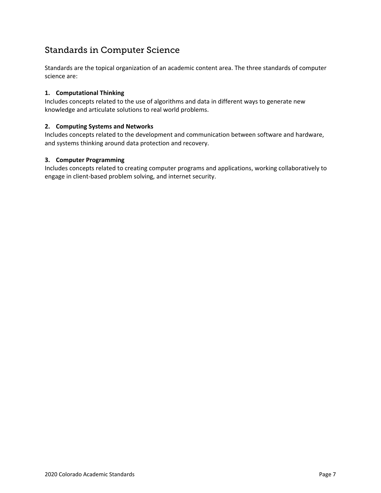## Standards in Computer Science

Standards are the topical organization of an academic content area. The three standards of computer science are:

#### **1. Computational Thinking**

Includes concepts related to the use of algorithms and data in different ways to generate new knowledge and articulate solutions to real world problems.

#### **2. Computing Systems and Networks**

Includes concepts related to the development and communication between software and hardware, and systems thinking around data protection and recovery.

#### **3. Computer Programming**

Includes concepts related to creating computer programs and applications, working collaboratively to engage in client-based problem solving, and internet security.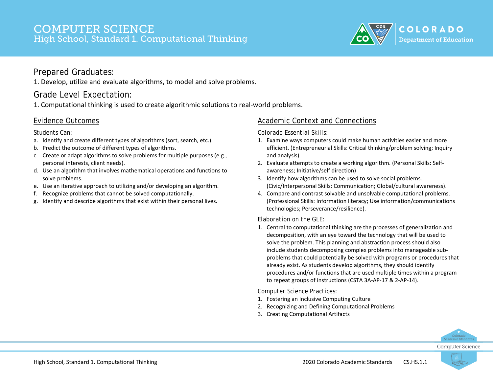

#### Prepared Graduates:

1. Develop, utilize and evaluate algorithms, to model and solve problems.

## Grade Level Expectation:

1. Computational thinking is used to create algorithmic solutions to real-world problems.

#### Evidence Outcomes

*Students Can:*

- a. Identify and create different types of algorithms (sort, search, etc.).
- b. Predict the outcome of different types of algorithms.
- c. Create or adapt algorithms to solve problems for multiple purposes (e.g., personal interests, client needs).
- d. Use an algorithm that involves mathematical operations and functions to solve problems.
- e. Use an iterative approach to utilizing and/or developing an algorithm.
- f. Recognize problems that cannot be solved computationally.
- g. Identify and describe algorithms that exist within their personal lives.

#### Academic Context and Connections

*Colorado Essential Skills:*

- 1. Examine ways computers could make human activities easier and more efficient. (Entrepreneurial Skills: Critical thinking/problem solving; Inquiry and analysis)
- 2. Evaluate attempts to create a working algorithm. (Personal Skills: Selfawareness; Initiative/self direction)
- 3. Identify how algorithms can be used to solve social problems. (Civic/Interpersonal Skills: Communication; Global/cultural awareness).
- 4. Compare and contrast solvable and unsolvable computational problems. (Professional Skills: Information literacy; Use information/communications technologies; Perseverance/resilience).

#### *Elaboration on the GLE:*

1. Central to computational thinking are the processes of generalization and decomposition, with an eye toward the technology that will be used to solve the problem. This planning and abstraction process should also include students decomposing complex problems into manageable subproblems that could potentially be solved with programs or procedures that already exist. As students develop algorithms, they should identify procedures and/or functions that are used multiple times within a program to repeat groups of instructions (CSTA 3A-AP-17 & 2-AP-14).

- 1. Fostering an Inclusive Computing Culture
- 2. Recognizing and Defining Computational Problems
- 3. Creating Computational Artifacts



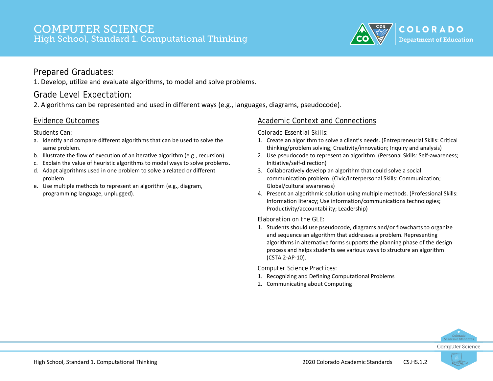

#### Prepared Graduates:

1. Develop, utilize and evaluate algorithms, to model and solve problems.

## Grade Level Expectation:

2. Algorithms can be represented and used in different ways (e.g., languages, diagrams, pseudocode).

#### Evidence Outcomes

*Students Can:*

- a. Identify and compare different algorithms that can be used to solve the same problem.
- b. Illustrate the flow of execution of an iterative algorithm (e.g., recursion).
- c. Explain the value of heuristic algorithms to model ways to solve problems.
- d. Adapt algorithms used in one problem to solve a related or different problem.
- e. Use multiple methods to represent an algorithm (e.g., diagram, programming language, unplugged).

#### Academic Context and Connections

*Colorado Essential Skills:*

- 1. Create an algorithm to solve a client's needs. (Entrepreneurial Skills: Critical thinking/problem solving; Creativity/innovation; Inquiry and analysis)
- 2. Use pseudocode to represent an algorithm. (Personal Skills: Self-awareness; Initiative/self-direction)
- 3. Collaboratively develop an algorithm that could solve a social communication problem. (Civic/Interpersonal Skills: Communication; Global/cultural awareness)
- 4. Present an algorithmic solution using multiple methods. (Professional Skills: Information literacy; Use information/communications technologies; Productivity/accountability; Leadership)

#### *Elaboration on the GLE:*

1. Students should use pseudocode, diagrams and/or flowcharts to organize and sequence an algorithm that addresses a problem. Representing algorithms in alternative forms supports the planning phase of the design process and helps students see various ways to structure an algorithm (CSTA 2-AP-10).

*Computer Science Practices:*

- 1. Recognizing and Defining Computational Problems
- 2. Communicating about Computing



**Computer Science** 

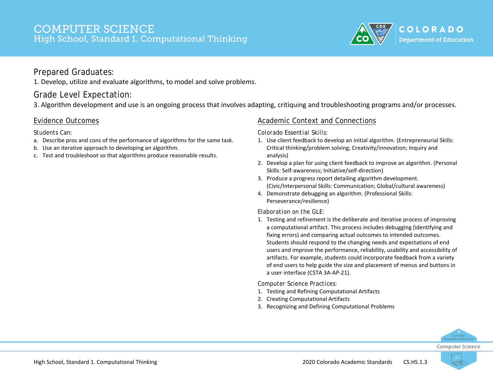

#### Prepared Graduates:

1. Develop, utilize and evaluate algorithms, to model and solve problems.

## Grade Level Expectation:

3. Algorithm development and use is an ongoing process that involves adapting, critiquing and troubleshooting programs and/or processes.

#### Evidence Outcomes

#### *Students Can:*

- a. Describe pros and cons of the performance of algorithms for the same task.
- b. Use an iterative approach to developing an algorithm.
- c. Test and troubleshoot so that algorithms produce reasonable results.

#### Academic Context and Connections

*Colorado Essential Skills:*

- 1. Use client feedback to develop an initial algorithm. (Entrepreneurial Skills: Critical thinking/problem solving; Creativity/innovation; Inquiry and analysis)
- 2. Develop a plan for using client feedback to improve an algorithm. (Personal Skills: Self-awareness; Initiative/self-direction)
- 3. Produce a progress report detailing algorithm development. (Civic/Interpersonal Skills: Communication; Global/cultural awareness)
- 4. Demonstrate debugging an algorithm. (Professional Skills: Perseverance/resilience)

#### *Elaboration on the GLE:*

1. Testing and refinement is the deliberate and iterative process of improving a computational artifact. This process includes debugging (identifying and fixing errors) and comparing actual outcomes to intended outcomes. Students should respond to the changing needs and expectations of end users and improve the performance, reliability, usability and accessibility of artifacts. For example, students could incorporate feedback from a variety of end users to help guide the size and placement of menus and buttons in a user interface (CSTA 3A-AP-21).

*Computer Science Practices:*

- 1. Testing and Refining Computational Artifacts
- 2. Creating Computational Artifacts
- 3. Recognizing and Defining Computational Problems



**Computer Science** 

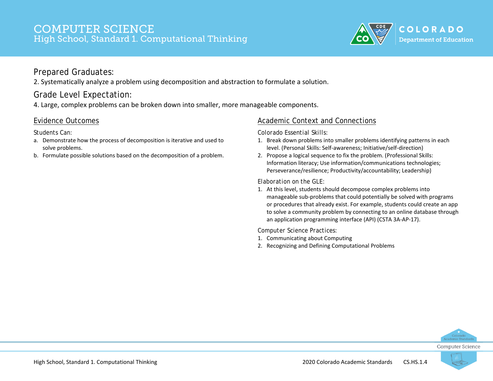

2. Systematically analyze a problem using decomposition and abstraction to formulate a solution.

## Grade Level Expectation:

4. Large, complex problems can be broken down into smaller, more manageable components.

## Evidence Outcomes

#### *Students Can:*

- a. Demonstrate how the process of decomposition is iterative and used to solve problems.
- b. Formulate possible solutions based on the decomposition of a problem.

## Academic Context and Connections

*Colorado Essential Skills:*

- 1. Break down problems into smaller problems identifying patterns in each level. (Personal Skills: Self-awareness; Initiative/self-direction)
- 2. Propose a logical sequence to fix the problem. (Professional Skills: Information literacy; Use information/communications technologies; Perseverance/resilience; Productivity/accountability; Leadership)

*Elaboration on the GLE:*

1. At this level, students should decompose complex problems into manageable sub-problems that could potentially be solved with programs or procedures that already exist. For example, students could create an app to solve a community problem by connecting to an online database through an application programming interface (API) (CSTA 3A-AP-17).

- 1. Communicating about Computing
- 2. Recognizing and Defining Computational Problems



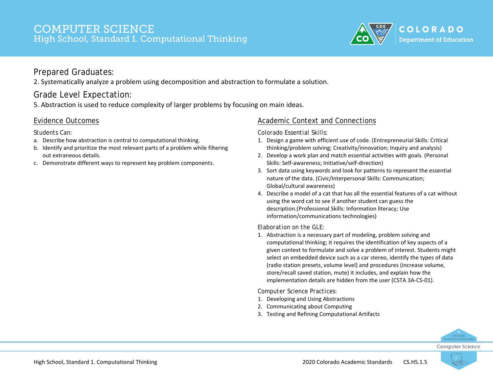

2. Systematically analyze a problem using decomposition and abstraction to formulate a solution.

## Grade Level Expectation:

5. Abstraction is used to reduce complexity of larger problems by focusing on main ideas.

#### Evidence Outcomes

#### *Students Can:*

- a. Describe how abstraction is central to computational thinking.
- b. Identify and prioritize the most relevant parts of a problem while filtering out extraneous details.
- c. Demonstrate different ways to represent key problem components.

#### Academic Context and Connections

*Colorado Essential Skills:*

- 1. Design a game with efficient use of code. (Entrepreneurial Skills: Critical thinking/problem solving; Creativity/innovation; Inquiry and analysis)
- 2. Develop a work plan and match essential activities with goals. (Personal Skills: Self-awareness; Initiative/self-direction)
- 3. Sort data using keywords and look for patterns to represent the essential nature of the data. (Civic/Interpersonal Skills: Communication; Global/cultural awareness)
- 4. Describe a model of a cat that has all the essential features of a cat without using the word cat to see if another student can guess the description.(Professional Skills: Information literacy; Use information/communications technologies)

*Elaboration on the GLE:*

1. Abstraction is a necessary part of modeling, problem solving and computational thinking; it requires the identification of key aspects of a given context to formulate and solve a problem of interest. Students might select an embedded device such as a car stereo, identify the types of data (radio station presets, volume level) and procedures (increase volume, store/recall saved station, mute) it includes, and explain how the implementation details are hidden from the user (CSTA 3A-CS-01).

- 1. Developing and Using Abstractions
- 2. Communicating about Computing
- 3. Testing and Refining Computational Artifacts



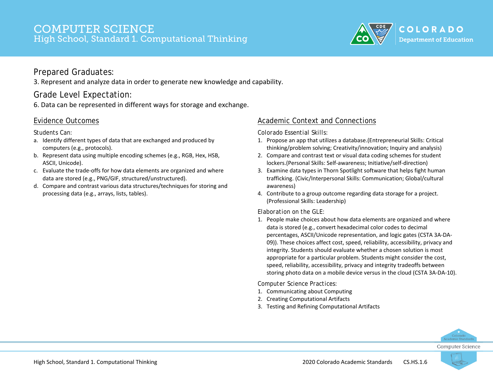

#### Prepared Graduates:

3. Represent and analyze data in order to generate new knowledge and capability.

## Grade Level Expectation:

6. Data can be represented in different ways for storage and exchange.

#### Evidence Outcomes

*Students Can:*

- a. Identify different types of data that are exchanged and produced by computers (e.g., protocols).
- b. Represent data using multiple encoding schemes (e.g., RGB, Hex, HSB, ASCII, Unicode).
- c. Evaluate the trade-offs for how data elements are organized and where data are stored (e.g., PNG/GIF, structured/unstructured).
- d. Compare and contrast various data structures/techniques for storing and processing data (e.g., arrays, lists, tables).

#### Academic Context and Connections

*Colorado Essential Skills:*

- 1. Propose an app that utilizes a database.(Entrepreneurial Skills: Critical thinking/problem solving; Creativity/innovation; Inquiry and analysis)
- 2. Compare and contrast text or visual data coding schemes for student lockers.(Personal Skills: Self-awareness; Initiative/self-direction)
- 3. Examine data types in Thorn Spotlight software that helps fight human trafficking. (Civic/Interpersonal Skills: Communication; Global/cultural awareness)
- 4. Contribute to a group outcome regarding data storage for a project. (Professional Skills: Leadership)

*Elaboration on the GLE:*

1. People make choices about how data elements are organized and where data is stored (e.g., convert hexadecimal color codes to decimal percentages, ASCII/Unicode representation, and logic gates (CSTA 3A-DA-09)). These choices affect cost, speed, reliability, accessibility, privacy and integrity. Students should evaluate whether a chosen solution is most appropriate for a particular problem. Students might consider the cost, speed, reliability, accessibility, privacy and integrity tradeoffs between storing photo data on a mobile device versus in the cloud (CSTA 3A-DA-10).

- 1. Communicating about Computing
- 2. Creating Computational Artifacts
- 3. Testing and Refining Computational Artifacts



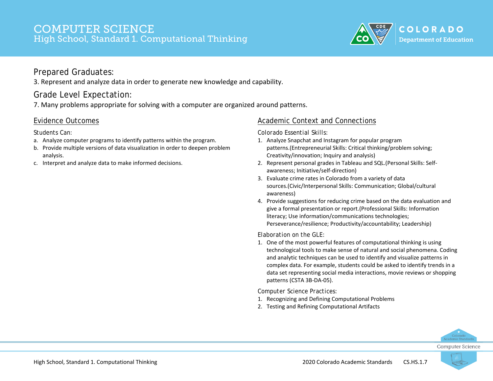

#### Prepared Graduates:

3. Represent and analyze data in order to generate new knowledge and capability.

#### Grade Level Expectation:

7. Many problems appropriate for solving with a computer are organized around patterns.

#### Evidence Outcomes

#### *Students Can:*

- a. Analyze computer programs to identify patterns within the program.
- b. Provide multiple versions of data visualization in order to deepen problem analysis.
- c. Interpret and analyze data to make informed decisions.

#### Academic Context and Connections

*Colorado Essential Skills:*

- 1. Analyze Snapchat and Instagram for popular program patterns.(Entrepreneurial Skills: Critical thinking/problem solving; Creativity/innovation; Inquiry and analysis)
- 2. Represent personal grades in Tableau and SQL.(Personal Skills: Selfawareness; Initiative/self-direction)
- 3. Evaluate crime rates in Colorado from a variety of data sources.(Civic/Interpersonal Skills: Communication; Global/cultural awareness)
- 4. Provide suggestions for reducing crime based on the data evaluation and give a formal presentation or report.(Professional Skills: Information literacy; Use information/communications technologies; Perseverance/resilience; Productivity/accountability; Leadership)

*Elaboration on the GLE:*

1. One of the most powerful features of computational thinking is using technological tools to make sense of natural and social phenomena. Coding and analytic techniques can be used to identify and visualize patterns in complex data. For example, students could be asked to identify trends in a data set representing social media interactions, movie reviews or shopping patterns (CSTA 3B-DA-05).

- 1. Recognizing and Defining Computational Problems
- 2. Testing and Refining Computational Artifacts



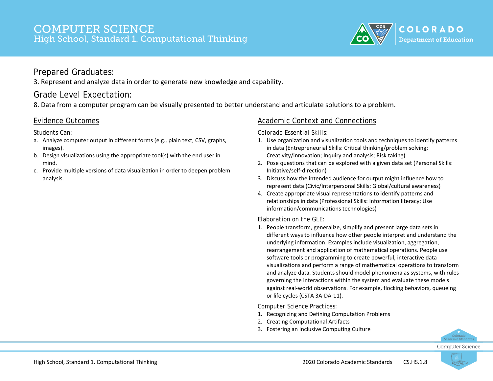

3. Represent and analyze data in order to generate new knowledge and capability.

## Grade Level Expectation:

8. Data from a computer program can be visually presented to better understand and articulate solutions to a problem.

#### Evidence Outcomes

*Students Can:*

- a. Analyze computer output in different forms (e.g., plain text, CSV, graphs, images).
- b. Design visualizations using the appropriate tool(s) with the end user in mind.
- c. Provide multiple versions of data visualization in order to deepen problem analysis.

#### Academic Context and Connections

*Colorado Essential Skills:*

- 1. Use organization and visualization tools and techniques to identify patterns in data (Entrepreneurial Skills: Critical thinking/problem solving; Creativity/innovation; Inquiry and analysis; Risk taking)
- 2. Pose questions that can be explored with a given data set (Personal Skills: Initiative/self-direction)
- 3. Discuss how the intended audience for output might influence how to represent data (Civic/Interpersonal Skills: Global/cultural awareness)
- 4. Create appropriate visual representations to identify patterns and relationships in data (Professional Skills: Information literacy; Use information/communications technologies)

#### *Elaboration on the GLE:*

1. People transform, generalize, simplify and present large data sets in different ways to influence how other people interpret and understand the underlying information. Examples include visualization, aggregation, rearrangement and application of mathematical operations. People use software tools or programming to create powerful, interactive data visualizations and perform a range of mathematical operations to transform and analyze data. Students should model phenomena as systems, with rules governing the interactions within the system and evaluate these models against real-world observations. For example, flocking behaviors, queueing or life cycles (CSTA 3A-DA-11).

- 1. Recognizing and Defining Computation Problems
- 2. Creating Computational Artifacts
- 3. Fostering an Inclusive Computing Culture



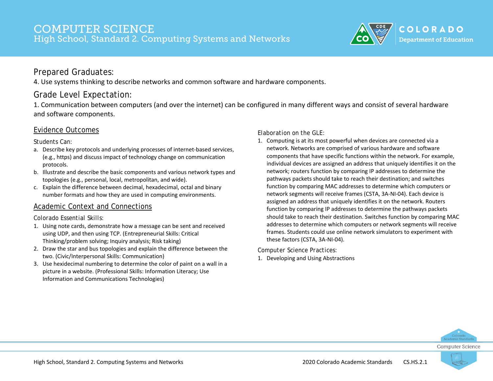

4. Use systems thinking to describe networks and common software and hardware components.

## Grade Level Expectation:

1. Communication between computers (and over the internet) can be configured in many different ways and consist of several hardware and software components.

#### Evidence Outcomes

*Students Can:*

- a. Describe key protocols and underlying processes of internet-based services, (e.g., https) and discuss impact of technology change on communication protocols.
- b. Illustrate and describe the basic components and various network types and topologies (e.g., personal, local, metropolitan, and wide).
- c. Explain the difference between decimal, hexadecimal, octal and binary number formats and how they are used in computing environments.

#### Academic Context and Connections

#### *Colorado Essential Skills:*

- 1. Using note cards, demonstrate how a message can be sent and received using UDP, and then using TCP. (Entrepreneurial Skills: Critical Thinking/problem solving; Inquiry analysis; Risk taking)
- 2. Draw the star and bus topologies and explain the difference between the two. (Civic/Interpersonal Skills: Communication)
- 3. Use hexidecimal numbering to determine the color of paint on a wall in a picture in a website. (Professional Skills: Information Literacy; Use Information and Communications Technologies)

*Elaboration on the GLE:*

1. Computing is at its most powerful when devices are connected via a network. Networks are comprised of various hardware and software components that have specific functions within the network. For example, individual devices are assigned an address that uniquely identifies it on the network; routers function by comparing IP addresses to determine the pathways packets should take to reach their destination; and switches function by comparing MAC addresses to determine which computers or network segments will receive frames (CSTA, 3A-NI-04). Each device is assigned an address that uniquely identifies it on the network. Routers function by comparing IP addresses to determine the pathways packets should take to reach their destination. Switches function by comparing MAC addresses to determine which computers or network segments will receive frames. Students could use online network simulators to experiment with these factors (CSTA, 3A-NI-04).

*Computer Science Practices:*

1. Developing and Using Abstractions



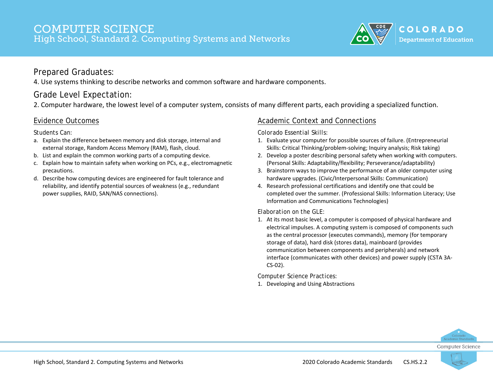

4. Use systems thinking to describe networks and common software and hardware components.

## Grade Level Expectation:

2. Computer hardware, the lowest level of a computer system, consists of many different parts, each providing a specialized function.

#### Evidence Outcomes

*Students Can:*

- a. Explain the difference between memory and disk storage, internal and external storage, Random Access Memory (RAM), flash, cloud.
- b. List and explain the common working parts of a computing device.
- c. Explain how to maintain safety when working on PCs, e.g., electromagnetic precautions.
- d. Describe how computing devices are engineered for fault tolerance and reliability, and identify potential sources of weakness (e.g., redundant power supplies, RAID, SAN/NAS connections).

#### Academic Context and Connections

*Colorado Essential Skills:*

- 1. Evaluate your computer for possible sources of failure. (Entrepreneurial Skills: Critical Thinking/problem-solving; Inquiry analysis; Risk taking)
- 2. Develop a poster describing personal safety when working with computers. (Personal Skills: Adaptability/flexibility; Perseverance/adaptability)
- 3. Brainstorm ways to improve the performance of an older computer using hardware upgrades. (Civic/Interpersonal Skills: Communication)
- 4. Research professional certifications and identify one that could be completed over the summer. (Professional Skills: Information Literacy; Use Information and Communications Technologies)

*Elaboration on the GLE:*

1. At its most basic level, a computer is composed of physical hardware and electrical impulses. A computing system is composed of components such as the central processor (executes commands), memory (for temporary storage of data), hard disk (stores data), mainboard (provides communication between components and peripherals) and network interface (communicates with other devices) and power supply (CSTA 3A-CS-02).

*Computer Science Practices:*

1. Developing and Using Abstractions



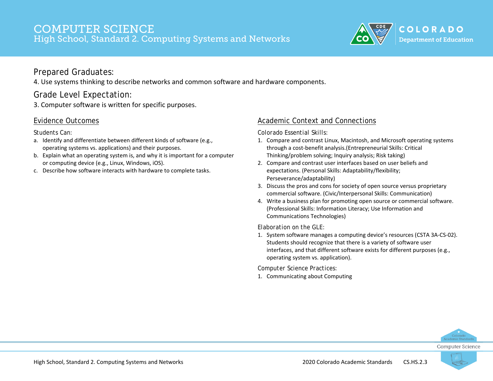

4. Use systems thinking to describe networks and common software and hardware components.

## Grade Level Expectation:

3. Computer software is written for specific purposes.

#### Evidence Outcomes

#### *Students Can:*

- a. Identify and differentiate between different kinds of software (e.g., operating systems vs. applications) and their purposes.
- b. Explain what an operating system is, and why it is important for a computer or computing device (e.g., Linux, Windows, iOS).
- c. Describe how software interacts with hardware to complete tasks.

#### Academic Context and Connections

*Colorado Essential Skills:*

- 1. Compare and contrast Linux, Macintosh, and Microsoft operating systems through a cost-benefit analysis.(Entrepreneurial Skills: Critical Thinking/problem solving; Inquiry analysis; Risk taking)
- 2. Compare and contrast user interfaces based on user beliefs and expectations. (Personal Skills: Adaptability/flexibility; Perseverance/adaptability)
- 3. Discuss the pros and cons for society of open source versus proprietary commercial software. (Civic/Interpersonal Skills: Communication)
- 4. Write a business plan for promoting open source or commercial software. (Professional Skills: Information Literacy; Use Information and Communications Technologies)

*Elaboration on the GLE:*

1. System software manages a computing device's resources (CSTA 3A-CS-02). Students should recognize that there is a variety of software user interfaces, and that different software exists for different purposes (e.g., operating system vs. application).

*Computer Science Practices:*

1. Communicating about Computing



Computer Science

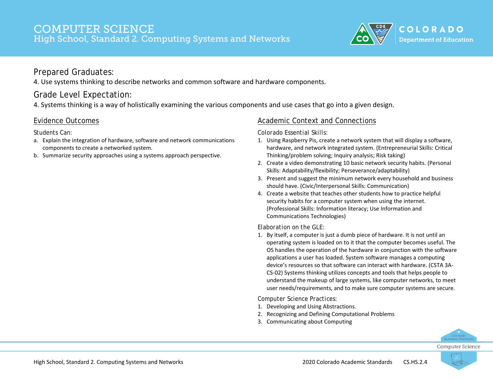

4. Use systems thinking to describe networks and common software and hardware components.

## Grade Level Expectation:

4. Systems thinking is a way of holistically examining the various components and use cases that go into a given design.

#### Evidence Outcomes

#### *Students Can:*

- a. Explain the integration of hardware, software and network communications components to create a networked system.
- b. Summarize security approaches using a systems approach perspective.

#### Academic Context and Connections

*Colorado Essential Skills:*

- 1. Using Raspberry Pis, create a network system that will display a software, hardware, and network integrated system. (Entrepreneurial Skills: Critical Thinking/problem solving; Inquiry analysis; Risk taking)
- 2. Create a video demonstrating 10 basic network security habits. (Personal Skills: Adaptability/flexibility; Perseverance/adaptability)
- 3. Present and suggest the minimum network every household and business should have. (Civic/Interpersonal Skills: Communication)
- 4. Create a website that teaches other students how to practice helpful security habits for a computer system when using the internet. (Professional Skills: Information literacy; Use Information and Communications Technologies)

*Elaboration on the GLE:*

1. By itself, a computer is just a dumb piece of hardware. It is not until an operating system is loaded on to it that the computer becomes useful. The OS handles the operation of the hardware in conjunction with the software applications a user has loaded. System software manages a computing device's resources so that software can interact with hardware. (CSTA 3A-CS-02) Systems thinking utilizes concepts and tools that helps people to understand the makeup of large systems, like computer networks, to meet user needs/requirements, and to make sure computer systems are secure.

- 1. Developing and Using Abstractions.
- 2. Recognizing and Defining Computational Problems
- 3. Communicating about Computing



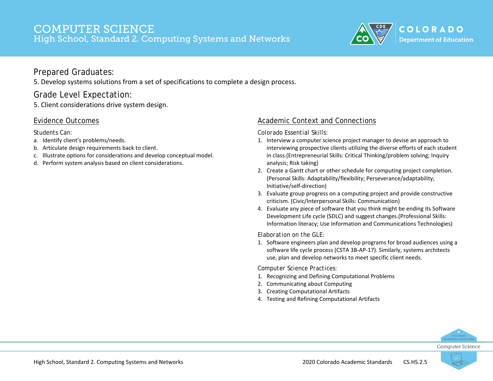

5. Develop systems solutions from a set of specifications to complete a design process.

## Grade Level Expectation:

5. Client considerations drive system design.

#### Evidence Outcomes

*Students Can:*

- a. Identify client's problems/needs.
- b. Articulate design requirements back to client.
- c. Illustrate options for considerations and develop conceptual model.
- d. Perform system analysis based on client considerations.

#### Academic Context and Connections

*Colorado Essential Skills:*

- 1. Interview a computer science project manager to devise an approach to interviewing prospective clients utilizing the diverse efforts of each student in class.(Entrepreneurial Skills: Critical Thinking/problem solving; Inquiry analysis; Risk taking)
- 2. Create a Gantt chart or other schedule for computing project completion. (Personal Skills: Adaptability/flexibility; Perseverance/adaptability; Initiative/self-direction)
- 3. Evaluate group progress on a computing project and provide constructive criticism. (Civic/Interpersonal Skills: Communication)
- 4. Evaluate any piece of software that you think might be ending its Software Development Life cycle (SDLC) and suggest changes.(Professional Skills: Information literacy; Use Information and Communications Technologies)

*Elaboration on the GLE:*

1. Software engineers plan and develop programs for broad audiences using a software life cycle process (CSTA 3B-AP-17). Similarly, systems architects use, plan and develop networks to meet specific client needs.

- 1. Recognizing and Defining Computational Problems
- 2. Communicating about Computing
- 3. Creating Computational Artifacts
- 4. Testing and Refining Computational Artifacts



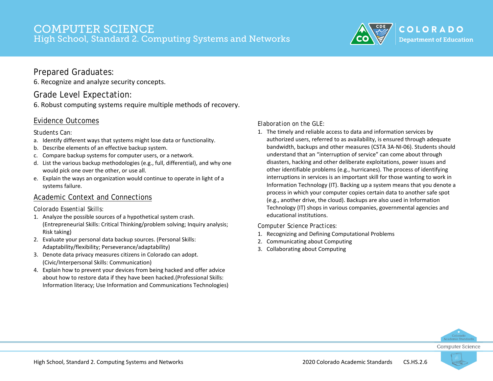

6. Recognize and analyze security concepts.

## Grade Level Expectation:

6. Robust computing systems require multiple methods of recovery.

#### Evidence Outcomes

#### *Students Can:*

- a. Identify different ways that systems might lose data or functionality.
- b. Describe elements of an effective backup system.
- c. Compare backup systems for computer users, or a network.
- d. List the various backup methodologies (e.g., full, differential), and why one would pick one over the other, or use all.
- e. Explain the ways an organization would continue to operate in light of a systems failure.

#### Academic Context and Connections

#### *Colorado Essential Skills:*

- 1. Analyze the possible sources of a hypothetical system crash. (Entrepreneurial Skills: Critical Thinking/problem solving; Inquiry analysis; Risk taking)
- 2. Evaluate your personal data backup sources. (Personal Skills: Adaptability/flexibility; Perseverance/adaptability)
- 3. Denote data privacy measures citizens in Colorado can adopt. (Civic/Interpersonal Skills: Communication)
- 4. Explain how to prevent your devices from being hacked and offer advice about how to restore data if they have been hacked.(Professional Skills: Information literacy; Use Information and Communications Technologies)

#### *Elaboration on the GLE:*

1. The timely and reliable access to data and information services by authorized users, referred to as availability, is ensured through adequate bandwidth, backups and other measures (CSTA 3A-NI-06). Students should understand that an "interruption of service" can come about through disasters, hacking and other deliberate exploitations, power issues and other identifiable problems (e.g., hurricanes). The process of identifying interruptions in services is an important skill for those wanting to work in Information Technology (IT). Backing up a system means that you denote a process in which your computer copies certain data to another safe spot (e.g., another drive, the cloud). Backups are also used in Information Technology (IT) shops in various companies, governmental agencies and educational institutions.

- 1. Recognizing and Defining Computational Problems
- 2. Communicating about Computing
- 3. Collaborating about Computing



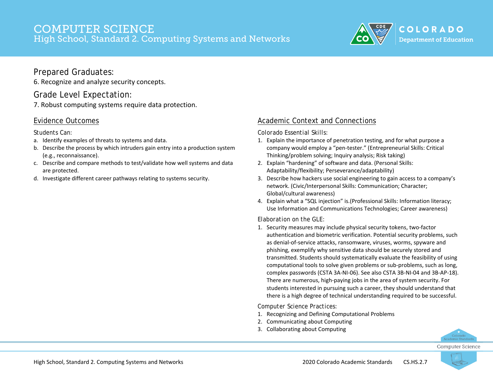

6. Recognize and analyze security concepts.

#### Grade Level Expectation:

7. Robust computing systems require data protection.

#### Evidence Outcomes

#### *Students Can:*

- a. Identify examples of threats to systems and data.
- b. Describe the process by which intruders gain entry into a production system (e.g., reconnaissance).
- c. Describe and compare methods to test/validate how well systems and data are protected.
- d. Investigate different career pathways relating to systems security.

#### Academic Context and Connections

*Colorado Essential Skills:*

- 1. Explain the importance of penetration testing, and for what purpose a company would employ a "pen-tester." (Entrepreneurial Skills: Critical Thinking/problem solving; Inquiry analysis; Risk taking)
- 2. Explain "hardening" of software and data. (Personal Skills: Adaptability/flexibility; Perseverance/adaptability)
- 3. Describe how hackers use social engineering to gain access to a company's network. (Civic/Interpersonal Skills: Communication; Character; Global/cultural awareness)
- 4. Explain what a "SQL injection" is.(Professional Skills: Information literacy; Use Information and Communications Technologies; Career awareness)

#### *Elaboration on the GLE:*

1. Security measures may include physical security tokens, two-factor authentication and biometric verification. Potential security problems, such as denial-of-service attacks, ransomware, viruses, worms, spyware and phishing, exemplify why sensitive data should be securely stored and transmitted. Students should systematically evaluate the feasibility of using computational tools to solve given problems or sub-problems, such as long, complex passwords (CSTA 3A-NI-06). See also CSTA 3B-NI-04 and 3B-AP-18). There are numerous, high-paying jobs in the area of system security. For students interested in pursuing such a career, they should understand that there is a high degree of technical understanding required to be successful.

- 1. Recognizing and Defining Computational Problems
- 2. Communicating about Computing
- 3. Collaborating about Computing



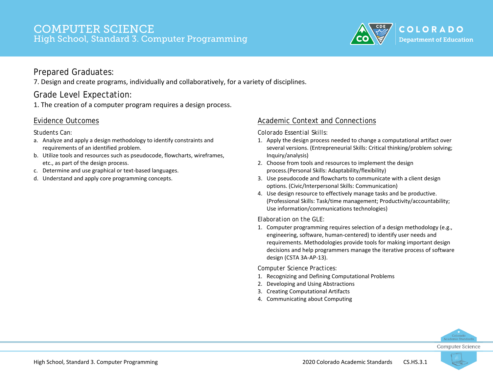

#### Prepared Graduates:

7. Design and create programs, individually and collaboratively, for a variety of disciplines.

## Grade Level Expectation:

1. The creation of a computer program requires a design process.

#### Evidence Outcomes

#### *Students Can:*

- a. Analyze and apply a design methodology to identify constraints and requirements of an identified problem.
- b. Utilize tools and resources such as pseudocode, flowcharts, wireframes, etc., as part of the design process.
- c. Determine and use graphical or text-based languages.
- d. Understand and apply core programming concepts.

## Academic Context and Connections

*Colorado Essential Skills:*

- 1. Apply the design process needed to change a computational artifact over several versions. (Entrepreneurial Skills: Critical thinking/problem solving; Inquiry/analysis)
- 2. Choose from tools and resources to implement the design process.(Personal Skills: Adaptability/flexibility)
- 3. Use pseudocode and flowcharts to communicate with a client design options. (Civic/Interpersonal Skills: Communication)
- 4. Use design resource to effectively manage tasks and be productive. (Professional Skills: Task/time management; Productivity/accountability; Use information/communications technologies)

#### *Elaboration on the GLE:*

1. Computer programming requires selection of a design methodology (e.g., engineering, software, human-centered) to identify user needs and requirements. Methodologies provide tools for making important design decisions and help programmers manage the iterative process of software design (CSTA 3A-AP-13).

- 1. Recognizing and Defining Computational Problems
- 2. Developing and Using Abstractions
- 3. Creating Computational Artifacts
- 4. Communicating about Computing



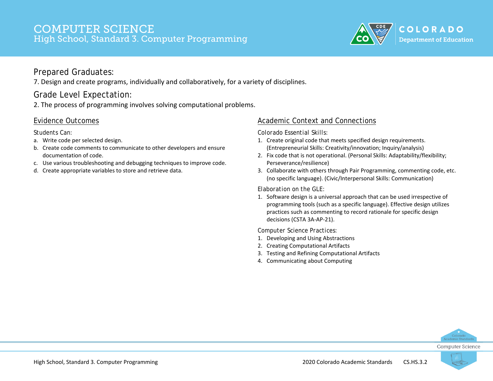

#### Prepared Graduates:

7. Design and create programs, individually and collaboratively, for a variety of disciplines.

## Grade Level Expectation:

2. The process of programming involves solving computational problems.

#### Evidence Outcomes

*Students Can:*

- a. Write code per selected design.
- b. Create code comments to communicate to other developers and ensure documentation of code.
- c. Use various troubleshooting and debugging techniques to improve code.
- d. Create appropriate variables to store and retrieve data.

#### Academic Context and Connections

*Colorado Essential Skills:*

- 1. Create original code that meets specified design requirements. (Entrepreneurial Skills: Creativity/innovation; Inquiry/analysis)
- 2. Fix code that is not operational. (Personal Skills: Adaptability/flexibility; Perseverance/resilience)
- 3. Collaborate with others through Pair Programming, commenting code, etc. (no specific language). (Civic/Interpersonal Skills: Communication)

#### *Elaboration on the GLE:*

1. Software design is a universal approach that can be used irrespective of programming tools (such as a specific language). Effective design utilizes practices such as commenting to record rationale for specific design decisions (CSTA 3A-AP-21).

- 1. Developing and Using Abstractions
- 2. Creating Computational Artifacts
- 3. Testing and Refining Computational Artifacts
- 4. Communicating about Computing



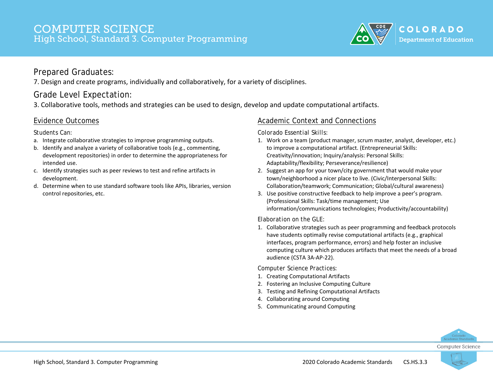

#### Prepared Graduates:

7. Design and create programs, individually and collaboratively, for a variety of disciplines.

## Grade Level Expectation:

3. Collaborative tools, methods and strategies can be used to design, develop and update computational artifacts.

#### Evidence Outcomes

*Students Can:*

- a. Integrate collaborative strategies to improve programming outputs.
- b. Identify and analyze a variety of collaborative tools (e.g., commenting, development repositories) in order to determine the appropriateness for intended use.
- c. Identify strategies such as peer reviews to test and refine artifacts in development.
- d. Determine when to use standard software tools like APIs, libraries, version control repositories, etc.

#### Academic Context and Connections

*Colorado Essential Skills:*

- 1. Work on a team (product manager, scrum master, analyst, developer, etc.) to improve a computational artifact. (Entrepreneurial Skills: Creativity/innovation; Inquiry/analysis: Personal Skills: Adaptability/flexibility; Perseverance/resilience)
- 2. Suggest an app for your town/city government that would make your town/neighborhood a nicer place to live. (Civic/Interpersonal Skills: Collaboration/teamwork; Communication; Global/cultural awareness)
- 3. Use positive constructive feedback to help improve a peer's program. (Professional Skills: Task/time management; Use information/communications technologies; Productivity/accountability)

#### *Elaboration on the GLE:*

1. Collaborative strategies such as peer programming and feedback protocols have students optimally revise computational artifacts (e.g., graphical interfaces, program performance, errors) and help foster an inclusive computing culture which produces artifacts that meet the needs of a broad audience (CSTA 3A-AP-22).

- 1. Creating Computational Artifacts
- 2. Fostering an Inclusive Computing Culture
- 3. Testing and Refining Computational Artifacts
- 4. Collaborating around Computing
- 5. Communicating around Computing



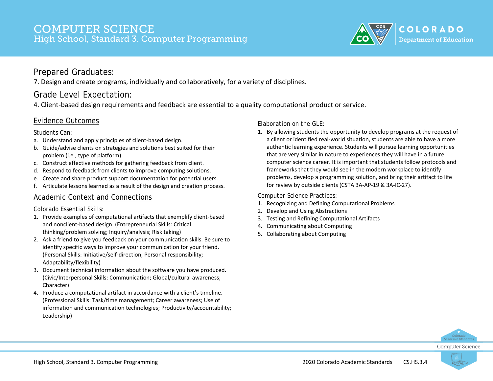

#### Prepared Graduates:

7. Design and create programs, individually and collaboratively, for a variety of disciplines.

## Grade Level Expectation:

4. Client-based design requirements and feedback are essential to a quality computational product or service.

#### Evidence Outcomes

#### *Students Can:*

- a. Understand and apply principles of client-based design.
- b. Guide/advise clients on strategies and solutions best suited for their problem (i.e., type of platform).
- c. Construct effective methods for gathering feedback from client.
- d. Respond to feedback from clients to improve computing solutions.
- e. Create and share product support documentation for potential users.
- f. Articulate lessons learned as a result of the design and creation process.

#### Academic Context and Connections

#### *Colorado Essential Skills:*

- 1. Provide examples of computational artifacts that exemplify client-based and nonclient-based design. (Entrepreneurial Skills: Critical thinking/problem solving; Inquiry/analysis; Risk taking)
- 2. Ask a friend to give you feedback on your communication skills. Be sure to identify specific ways to improve your communication for your friend. (Personal Skills: Initiative/self-direction; Personal responsibility; Adaptability/flexibility)
- 3. Document technical information about the software you have produced. (Civic/Interpersonal Skills: Communication; Global/cultural awareness; Character)
- 4. Produce a computational artifact in accordance with a client's timeline. (Professional Skills: Task/time management; Career awareness; Use of information and communication technologies; Productivity/accountability; Leadership)

*Elaboration on the GLE:*

1. By allowing students the opportunity to develop programs at the request of a client or identified real-world situation, students are able to have a more authentic learning experience. Students will pursue learning opportunities that are very similar in nature to experiences they will have in a future computer science career. It is important that students follow protocols and frameworks that they would see in the modern workplace to identify problems, develop a programming solution, and bring their artifact to life for review by outside clients (CSTA 3A-AP-19 & 3A-IC-27).

- 1. Recognizing and Defining Computational Problems
- 2. Develop and Using Abstractions
- 3. Testing and Refining Computational Artifacts
- 4. Communicating about Computing
- 5. Collaborating about Computing



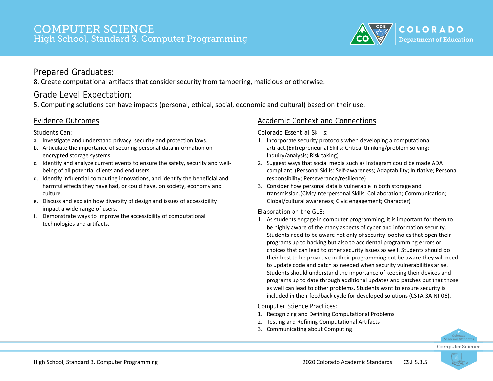

#### Prepared Graduates:

8. Create computational artifacts that consider security from tampering, malicious or otherwise.

## Grade Level Expectation:

5. Computing solutions can have impacts (personal, ethical, social, economic and cultural) based on their use.

#### Evidence Outcomes

#### *Students Can:*

- a. Investigate and understand privacy, security and protection laws.
- b. Articulate the importance of securing personal data information on encrypted storage systems.
- c. Identify and analyze current events to ensure the safety, security and wellbeing of all potential clients and end users.
- d. Identify influential computing innovations, and identify the beneficial and harmful effects they have had, or could have, on society, economy and culture.
- e. Discuss and explain how diversity of design and issues of accessibility impact a wide-range of users.
- f. Demonstrate ways to improve the accessibility of computational technologies and artifacts.

#### Academic Context and Connections

*Colorado Essential Skills:*

- 1. Incorporate security protocols when developing a computational artifact.(Entrepreneurial Skills: Critical thinking/problem solving; Inquiry/analysis; Risk taking)
- 2. Suggest ways that social media such as Instagram could be made ADA compliant. (Personal Skills: Self-awareness; Adaptability; Initiative; Personal responsibility; Perseverance/resilience)
- 3. Consider how personal data is vulnerable in both storage and transmission.(Civic/Interpersonal Skills: Collaboration; Communication; Global/cultural awareness; Civic engagement; Character)

#### *Elaboration on the GLE:*

1. As students engage in computer programming, it is important for them to be highly aware of the many aspects of cyber and information security. Students need to be aware not only of security loopholes that open their programs up to hacking but also to accidental programming errors or choices that can lead to other security issues as well. Students should do their best to be proactive in their programming but be aware they will need to update code and patch as needed when security vulnerabilities arise. Students should understand the importance of keeping their devices and programs up to date through additional updates and patches but that those as well can lead to other problems. Students want to ensure security is included in their feedback cycle for developed solutions (CSTA 3A-NI-06).

- 1. Recognizing and Defining Computational Problems
- 2. Testing and Refining Computational Artifacts
- 3. Communicating about Computing